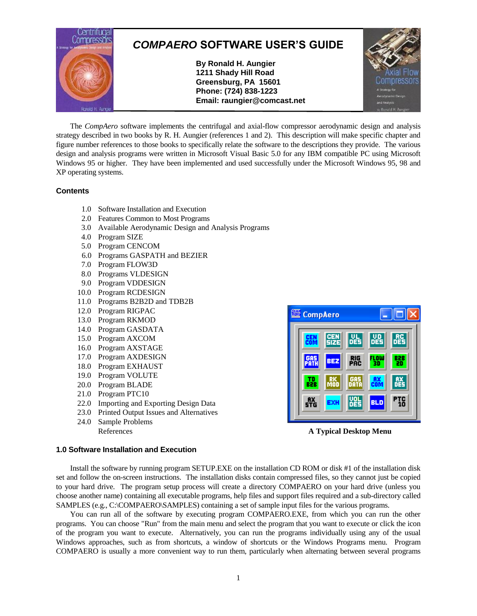

The *CompAero* software implements the centrifugal and axial-flow compressor aerodynamic design and analysis strategy described in two books by R. H. Aungier (references 1 and 2). This description will make specific chapter and figure number references to those books to specifically relate the software to the descriptions they provide. The various design and analysis programs were written in Microsoft Visual Basic 5.0 for any IBM compatible PC using Microsoft Windows 95 or higher. They have been implemented and used successfully under the Microsoft Windows 95, 98 and XP operating systems.

## **Contents**

- 1.0 Software Installation and Execution
- 2.0 Features Common to Most Programs
- 3.0 Available Aerodynamic Design and Analysis Programs
- 4.0 Program SIZE
- 5.0 Program CENCOM
- 6.0 Programs GASPATH and BEZIER
- 7.0 Program FLOW3D
- 8.0 Programs VLDESIGN
- 9.0 Program VDDESIGN
- 10.0 Program RCDESIGN
- 11.0 Programs B2B2D and TDB2B
- 12.0 Program RIGPAC
- 13.0 Program RKMOD
- 14.0 Program GASDATA
- 15.0 Program AXCOM
- 16.0 Program AXSTAGE
- 17.0 Program AXDESIGN
- 18.0 Program EXHAUST
- 19.0 Program VOLUTE
- 20.0 Program BLADE
- 21.0 Program PTC10
- 22.0 Importing and Exporting Design Data
- 23.0 Printed Output Issues and Alternatives
- 24.0 Sample Problems



References **A Typical Desktop Menu**

## **1.0 Software Installation and Execution**

Install the software by running program SETUP.EXE on the installation CD ROM or disk #1 of the installation disk set and follow the on-screen instructions. The installation disks contain compressed files, so they cannot just be copied to your hard drive. The program setup process will create a directory COMPAERO on your hard drive (unless you choose another name) containing all executable programs, help files and support files required and a sub-directory called SAMPLES (e.g., C:\COMPAERO\SAMPLES) containing a set of sample input files for the various programs.

You can run all of the software by executing program COMPAERO.EXE, from which you can run the other programs. You can choose "Run" from the main menu and select the program that you want to execute or click the icon of the program you want to execute. Alternatively, you can run the programs individually using any of the usual Windows approaches, such as from shortcuts, a window of shortcuts or the Windows Programs menu. Program COMPAERO is usually a more convenient way to run them, particularly when alternating between several programs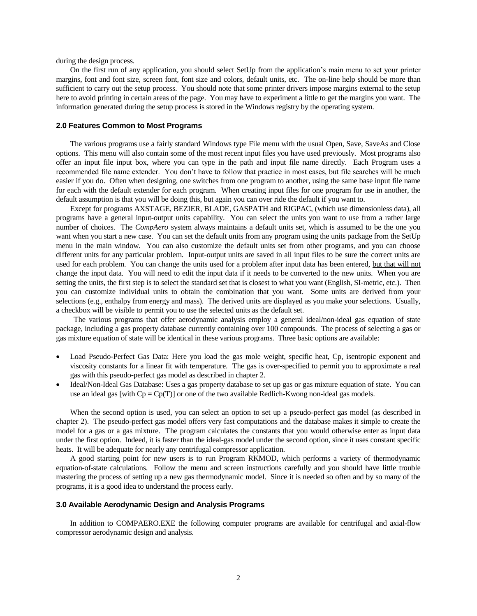during the design process.

On the first run of any application, you should select SetUp from the application's main menu to set your printer margins, font and font size, screen font, font size and colors, default units, etc. The on-line help should be more than sufficient to carry out the setup process. You should note that some printer drivers impose margins external to the setup here to avoid printing in certain areas of the page. You may have to experiment a little to get the margins you want. The information generated during the setup process is stored in the Windows registry by the operating system.

### **2.0 Features Common to Most Programs**

The various programs use a fairly standard Windows type File menu with the usual Open, Save, SaveAs and Close options. This menu will also contain some of the most recent input files you have used previously. Most programs also offer an input file input box, where you can type in the path and input file name directly. Each Program uses a recommended file name extender. You don't have to follow that practice in most cases, but file searches will be much easier if you do. Often when designing, one switches from one program to another, using the same base input file name for each with the default extender for each program. When creating input files for one program for use in another, the default assumption is that you will be doing this, but again you can over ride the default if you want to.

Except for programs AXSTAGE, BEZIER, BLADE, GASPATH and RIGPAC, (which use dimensionless data), all programs have a general input-output units capability. You can select the units you want to use from a rather large number of choices. The *CompAero* system always maintains a default units set, which is assumed to be the one you want when you start a new case. You can set the default units from any program using the units package from the SetUp menu in the main window. You can also customize the default units set from other programs, and you can choose different units for any particular problem. Input-output units are saved in all input files to be sure the correct units are used for each problem. You can change the units used for a problem after input data has been entered, but that will not change the input data. You will need to edit the input data if it needs to be converted to the new units. When you are setting the units, the first step is to select the standard set that is closest to what you want (English, SI-metric, etc.). Then you can customize individual units to obtain the combination that you want. Some units are derived from your selections (e.g., enthalpy from energy and mass). The derived units are displayed as you make your selections. Usually, a checkbox will be visible to permit you to use the selected units as the default set.

The various programs that offer aerodynamic analysis employ a general ideal/non-ideal gas equation of state package, including a gas property database currently containing over 100 compounds. The process of selecting a gas or gas mixture equation of state will be identical in these various programs. Three basic options are available:

- Load Pseudo-Perfect Gas Data: Here you load the gas mole weight, specific heat, Cp, isentropic exponent and viscosity constants for a linear fit with temperature. The gas is over-specified to permit you to approximate a real gas with this pseudo-perfect gas model as described in chapter 2.
- Ideal/Non-Ideal Gas Database: Uses a gas property database to set up gas or gas mixture equation of state. You can use an ideal gas [with  $Cp = Cp(T)$ ] or one of the two available Redlich-Kwong non-ideal gas models.

When the second option is used, you can select an option to set up a pseudo-perfect gas model (as described in chapter 2). The pseudo-perfect gas model offers very fast computations and the database makes it simple to create the model for a gas or a gas mixture. The program calculates the constants that you would otherwise enter as input data under the first option. Indeed, it is faster than the ideal-gas model under the second option, since it uses constant specific heats. It will be adequate for nearly any centrifugal compressor application.

A good starting point for new users is to run Program RKMOD, which performs a variety of thermodynamic equation-of-state calculations. Follow the menu and screen instructions carefully and you should have little trouble mastering the process of setting up a new gas thermodynamic model. Since it is needed so often and by so many of the programs, it is a good idea to understand the process early.

### **3.0 Available Aerodynamic Design and Analysis Programs**

In addition to COMPAERO.EXE the following computer programs are available for centrifugal and axial-flow compressor aerodynamic design and analysis.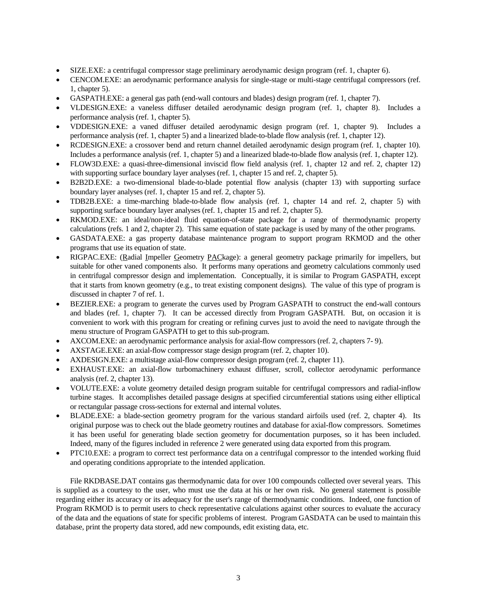- SIZE.EXE: a centrifugal compressor stage preliminary aerodynamic design program (ref. 1, chapter 6).
- CENCOM.EXE: an aerodynamic performance analysis for single-stage or multi-stage centrifugal compressors (ref. 1, chapter 5).
- GASPATH.EXE: a general gas path (end-wall contours and blades) design program (ref. 1, chapter 7).
- VLDESIGN.EXE: a vaneless diffuser detailed aerodynamic design program (ref. 1, chapter 8). Includes a performance analysis (ref. 1, chapter 5).
- VDDESIGN.EXE: a vaned diffuser detailed aerodynamic design program (ref. 1, chapter 9). Includes a performance analysis (ref. 1, chapter 5) and a linearized blade-to-blade flow analysis (ref. 1, chapter 12).
- RCDESIGN.EXE: a crossover bend and return channel detailed aerodynamic design program (ref. 1, chapter 10). Includes a performance analysis (ref. 1, chapter 5) and a linearized blade-to-blade flow analysis (ref. 1, chapter 12).
- FLOW3D.EXE: a quasi-three-dimensional inviscid flow field analysis (ref. 1, chapter 12 and ref. 2, chapter 12) with supporting surface boundary layer analyses (ref. 1, chapter 15 and ref. 2, chapter 5).
- B2B2D.EXE: a two-dimensional blade-to-blade potential flow analysis (chapter 13) with supporting surface boundary layer analyses (ref. 1, chapter 15 and ref. 2, chapter 5).
- TDB2B.EXE: a time-marching blade-to-blade flow analysis (ref. 1, chapter 14 and ref. 2, chapter 5) with supporting surface boundary layer analyses (ref. 1, chapter 15 and ref. 2, chapter 5).
- RKMOD.EXE: an ideal/non-ideal fluid equation-of-state package for a range of thermodynamic property calculations (refs. 1 and 2, chapter 2). This same equation of state package is used by many of the other programs.
- GASDATA.EXE: a gas property database maintenance program to support program RKMOD and the other programs that use its equation of state.
- RIGPAC.EXE: (Radial Impeller Geometry PACkage): a general geometry package primarily for impellers, but suitable for other vaned components also. It performs many operations and geometry calculations commonly used in centrifugal compressor design and implementation. Conceptually, it is similar to Program GASPATH, except that it starts from known geometry (e.g., to treat existing component designs). The value of this type of program is discussed in chapter 7 of ref. 1.
- BEZIER.EXE: a program to generate the curves used by Program GASPATH to construct the end-wall contours and blades (ref. 1, chapter 7). It can be accessed directly from Program GASPATH. But, on occasion it is convenient to work with this program for creating or refining curves just to avoid the need to navigate through the menu structure of Program GASPATH to get to this sub-program.
- AXCOM.EXE: an aerodynamic performance analysis for axial-flow compressors (ref. 2, chapters 7- 9).
- AXSTAGE.EXE: an axial-flow compressor stage design program (ref. 2, chapter 10).
- AXDESIGN.EXE: a multistage axial-flow compressor design program (ref. 2, chapter 11).
- EXHAUST.EXE: an axial-flow turbomachinery exhaust diffuser, scroll, collector aerodynamic performance analysis (ref. 2, chapter 13).
- VOLUTE.EXE: a volute geometry detailed design program suitable for centrifugal compressors and radial-inflow turbine stages. It accomplishes detailed passage designs at specified circumferential stations using either elliptical or rectangular passage cross-sections for external and internal volutes.
- BLADE.EXE: a blade-section geometry program for the various standard airfoils used (ref. 2, chapter 4). Its original purpose was to check out the blade geometry routines and database for axial-flow compressors. Sometimes it has been useful for generating blade section geometry for documentation purposes, so it has been included. Indeed, many of the figures included in reference 2 were generated using data exported from this program.
- PTC10.EXE: a program to correct test performance data on a centrifugal compressor to the intended working fluid and operating conditions appropriate to the intended application.

File RKDBASE.DAT contains gas thermodynamic data for over 100 compounds collected over several years. This is supplied as a courtesy to the user, who must use the data at his or her own risk. No general statement is possible regarding either its accuracy or its adequacy for the user's range of thermodynamic conditions. Indeed, one function of Program RKMOD is to permit users to check representative calculations against other sources to evaluate the accuracy of the data and the equations of state for specific problems of interest. Program GASDATA can be used to maintain this database, print the property data stored, add new compounds, edit existing data, etc.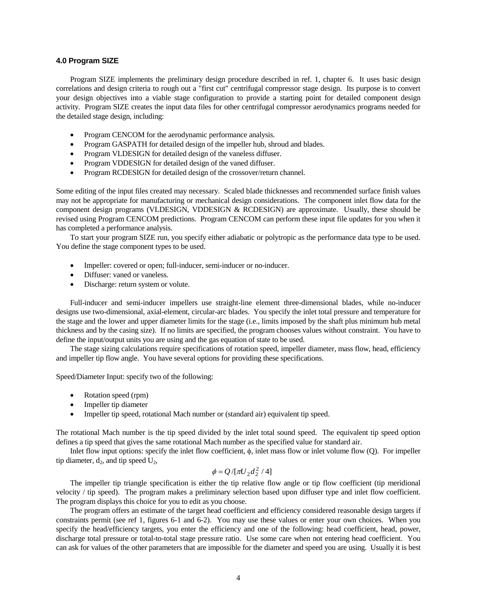### **4.0 Program SIZE**

Program SIZE implements the preliminary design procedure described in ref. 1, chapter 6. It uses basic design correlations and design criteria to rough out a "first cut" centrifugal compressor stage design. Its purpose is to convert your design objectives into a viable stage configuration to provide a starting point for detailed component design activity. Program SIZE creates the input data files for other centrifugal compressor aerodynamics programs needed for the detailed stage design, including:

- Program CENCOM for the aerodynamic performance analysis.
- Program GASPATH for detailed design of the impeller hub, shroud and blades.
- Program VLDESIGN for detailed design of the vaneless diffuser.
- Program VDDESIGN for detailed design of the vaned diffuser.
- Program RCDESIGN for detailed design of the crossover/return channel.

Some editing of the input files created may necessary. Scaled blade thicknesses and recommended surface finish values may not be appropriate for manufacturing or mechanical design considerations. The component inlet flow data for the component design programs (VLDESIGN, VDDESIGN & RCDESIGN) are approximate. Usually, these should be revised using Program CENCOM predictions. Program CENCOM can perform these input file updates for you when it has completed a performance analysis.

To start your program SIZE run, you specify either adiabatic or polytropic as the performance data type to be used. You define the stage component types to be used.

- Impeller: covered or open; full-inducer, semi-inducer or no-inducer.
- Diffuser: vaned or vaneless.
- Discharge: return system or volute.

Full-inducer and semi-inducer impellers use straight-line element three-dimensional blades, while no-inducer designs use two-dimensional, axial-element, circular-arc blades. You specify the inlet total pressure and temperature for the stage and the lower and upper diameter limits for the stage (i.e., limits imposed by the shaft plus minimum hub metal thickness and by the casing size). If no limits are specified, the program chooses values without constraint. You have to define the input/output units you are using and the gas equation of state to be used.

The stage sizing calculations require specifications of rotation speed, impeller diameter, mass flow, head, efficiency and impeller tip flow angle. You have several options for providing these specifications.

Speed/Diameter Input: specify two of the following:

- Rotation speed (rpm)
- Impeller tip diameter
- Impeller tip speed, rotational Mach number or (standard air) equivalent tip speed.

The rotational Mach number is the tip speed divided by the inlet total sound speed. The equivalent tip speed option defines a tip speed that gives the same rotational Mach number as the specified value for standard air.

Inlet flow input options: specify the inlet flow coefficient,  $\phi$ , inlet mass flow or inlet volume flow (Q). For impeller tip diameter,  $d_2$ , and tip speed  $U_2$ ,

# $\phi = Q / [\pi U_2 d_2^2 / 4]$

The impeller tip triangle specification is either the tip relative flow angle or tip flow coefficient (tip meridional velocity / tip speed). The program makes a preliminary selection based upon diffuser type and inlet flow coefficient. The program displays this choice for you to edit as you choose.

The program offers an estimate of the target head coefficient and efficiency considered reasonable design targets if constraints permit (see ref 1, figures 6-1 and 6-2). You may use these values or enter your own choices. When you specify the head/efficiency targets, you enter the efficiency and one of the following: head coefficient, head, power, discharge total pressure or total-to-total stage pressure ratio. Use some care when not entering head coefficient. You can ask for values of the other parameters that are impossible for the diameter and speed you are using. Usually it is best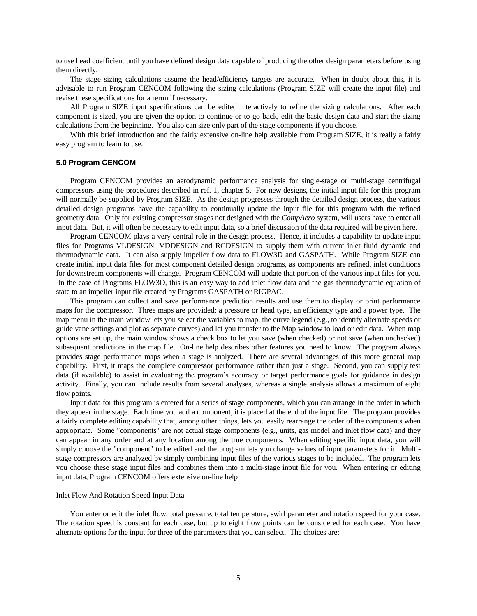to use head coefficient until you have defined design data capable of producing the other design parameters before using them directly.

The stage sizing calculations assume the head/efficiency targets are accurate. When in doubt about this, it is advisable to run Program CENCOM following the sizing calculations (Program SIZE will create the input file) and revise these specifications for a rerun if necessary.

All Program SIZE input specifications can be edited interactively to refine the sizing calculations. After each component is sized, you are given the option to continue or to go back, edit the basic design data and start the sizing calculations from the beginning. You also can size only part of the stage components if you choose.

With this brief introduction and the fairly extensive on-line help available from Program SIZE, it is really a fairly easy program to learn to use.

### **5.0 Program CENCOM**

Program CENCOM provides an aerodynamic performance analysis for single-stage or multi-stage centrifugal compressors using the procedures described in ref. 1, chapter 5. For new designs, the initial input file for this program will normally be supplied by Program SIZE. As the design progresses through the detailed design process, the various detailed design programs have the capability to continually update the input file for this program with the refined geometry data. Only for existing compressor stages not designed with the *CompAero* system, will users have to enter all input data. But, it will often be necessary to edit input data, so a brief discussion of the data required will be given here.

Program CENCOM plays a very central role in the design process. Hence, it includes a capability to update input files for Programs VLDESIGN, VDDESIGN and RCDESIGN to supply them with current inlet fluid dynamic and thermodynamic data. It can also supply impeller flow data to FLOW3D and GASPATH. While Program SIZE can create initial input data files for most component detailed design programs, as components are refined, inlet conditions for downstream components will change. Program CENCOM will update that portion of the various input files for you. In the case of Programs FLOW3D, this is an easy way to add inlet flow data and the gas thermodynamic equation of state to an impeller input file created by Programs GASPATH or RIGPAC.

This program can collect and save performance prediction results and use them to display or print performance maps for the compressor. Three maps are provided: a pressure or head type, an efficiency type and a power type. The map menu in the main window lets you select the variables to map, the curve legend (e.g., to identify alternate speeds or guide vane settings and plot as separate curves) and let you transfer to the Map window to load or edit data. When map options are set up, the main window shows a check box to let you save (when checked) or not save (when unchecked) subsequent predictions in the map file. On-line help describes other features you need to know. The program always provides stage performance maps when a stage is analyzed. There are several advantages of this more general map capability. First, it maps the complete compressor performance rather than just a stage. Second, you can supply test data (if available) to assist in evaluating the program's accuracy or target performance goals for guidance in design activity. Finally, you can include results from several analyses, whereas a single analysis allows a maximum of eight flow points.

Input data for this program is entered for a series of stage components, which you can arrange in the order in which they appear in the stage. Each time you add a component, it is placed at the end of the input file. The program provides a fairly complete editing capability that, among other things, lets you easily rearrange the order of the components when appropriate. Some "components" are not actual stage components (e.g., units, gas model and inlet flow data) and they can appear in any order and at any location among the true components. When editing specific input data, you will simply choose the "component" to be edited and the program lets you change values of input parameters for it. Multistage compressors are analyzed by simply combining input files of the various stages to be included. The program lets you choose these stage input files and combines them into a multi-stage input file for you. When entering or editing input data, Program CENCOM offers extensive on-line help

### Inlet Flow And Rotation Speed Input Data

You enter or edit the inlet flow, total pressure, total temperature, swirl parameter and rotation speed for your case. The rotation speed is constant for each case, but up to eight flow points can be considered for each case. You have alternate options for the input for three of the parameters that you can select. The choices are: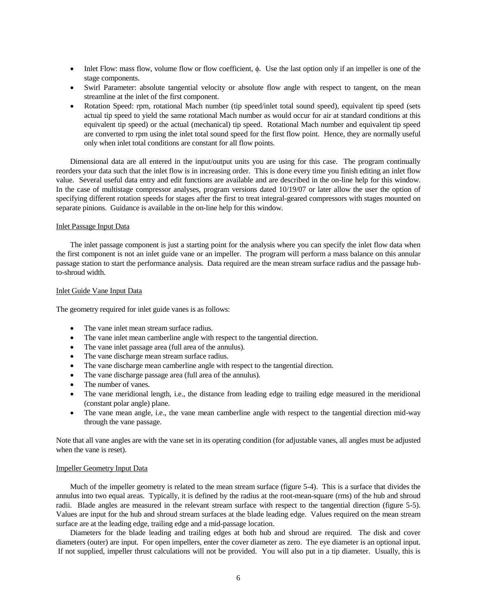- $\bullet$  Inlet Flow: mass flow, volume flow or flow coefficient,  $\phi$ . Use the last option only if an impeller is one of the stage components.
- Swirl Parameter: absolute tangential velocity or absolute flow angle with respect to tangent, on the mean streamline at the inlet of the first component.
- Rotation Speed: rpm, rotational Mach number (tip speed/inlet total sound speed), equivalent tip speed (sets actual tip speed to yield the same rotational Mach number as would occur for air at standard conditions at this equivalent tip speed) or the actual (mechanical) tip speed. Rotational Mach number and equivalent tip speed are converted to rpm using the inlet total sound speed for the first flow point. Hence, they are normally useful only when inlet total conditions are constant for all flow points.

Dimensional data are all entered in the input/output units you are using for this case. The program continually reorders your data such that the inlet flow is in increasing order. This is done every time you finish editing an inlet flow value. Several useful data entry and edit functions are available and are described in the on-line help for this window. In the case of multistage compressor analyses, program versions dated 10/19/07 or later allow the user the option of specifying different rotation speeds for stages after the first to treat integral-geared compressors with stages mounted on separate pinions. Guidance is available in the on-line help for this window.

## Inlet Passage Input Data

The inlet passage component is just a starting point for the analysis where you can specify the inlet flow data when the first component is not an inlet guide vane or an impeller. The program will perform a mass balance on this annular passage station to start the performance analysis. Data required are the mean stream surface radius and the passage hubto-shroud width.

## Inlet Guide Vane Input Data

The geometry required for inlet guide vanes is as follows:

- The vane inlet mean stream surface radius.
- The vane inlet mean camberline angle with respect to the tangential direction.
- The vane inlet passage area (full area of the annulus).
- The vane discharge mean stream surface radius.
- The vane discharge mean camberline angle with respect to the tangential direction.
- The vane discharge passage area (full area of the annulus).
- The number of vanes.
- The vane meridional length, i.e., the distance from leading edge to trailing edge measured in the meridional (constant polar angle) plane.
- The vane mean angle, i.e., the vane mean camberline angle with respect to the tangential direction mid-way through the vane passage.

Note that all vane angles are with the vane set in its operating condition (for adjustable vanes, all angles must be adjusted when the vane is reset).

## Impeller Geometry Input Data

Much of the impeller geometry is related to the mean stream surface (figure 5-4). This is a surface that divides the annulus into two equal areas. Typically, it is defined by the radius at the root-mean-square (rms) of the hub and shroud radii. Blade angles are measured in the relevant stream surface with respect to the tangential direction (figure 5-5). Values are input for the hub and shroud stream surfaces at the blade leading edge. Values required on the mean stream surface are at the leading edge, trailing edge and a mid-passage location.

Diameters for the blade leading and trailing edges at both hub and shroud are required. The disk and cover diameters (outer) are input. For open impellers, enter the cover diameter as zero. The eye diameter is an optional input. If not supplied, impeller thrust calculations will not be provided. You will also put in a tip diameter. Usually, this is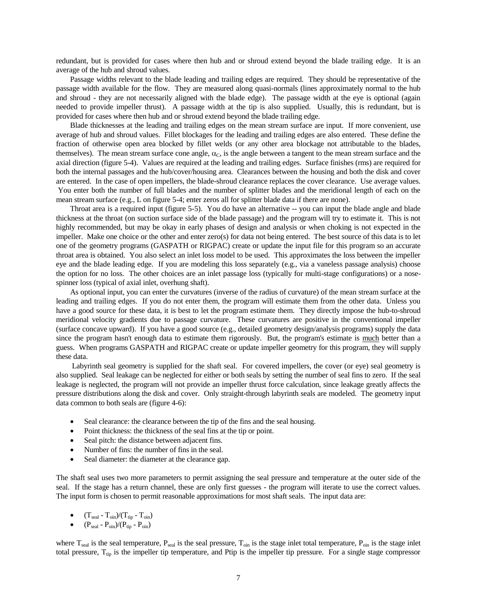redundant, but is provided for cases where then hub and or shroud extend beyond the blade trailing edge. It is an average of the hub and shroud values.

Passage widths relevant to the blade leading and trailing edges are required. They should be representative of the passage width available for the flow. They are measured along quasi-normals (lines approximately normal to the hub and shroud - they are not necessarily aligned with the blade edge). The passage width at the eye is optional (again needed to provide impeller thrust). A passage width at the tip is also supplied. Usually, this is redundant, but is provided for cases where then hub and or shroud extend beyond the blade trailing edge.

Blade thicknesses at the leading and trailing edges on the mean stream surface are input. If more convenient, use average of hub and shroud values. Fillet blockages for the leading and trailing edges are also entered. These define the fraction of otherwise open area blocked by fillet welds (or any other area blockage not attributable to the blades, themselves). The mean stream surface cone angle,  $\alpha_c$ , is the angle between a tangent to the mean stream surface and the axial direction (figure 5-4). Values are required at the leading and trailing edges. Surface finishes (rms) are required for both the internal passages and the hub/cover/housing area. Clearances between the housing and both the disk and cover are entered. In the case of open impellers, the blade-shroud clearance replaces the cover clearance. Use average values. You enter both the number of full blades and the number of splitter blades and the meridional length of each on the mean stream surface (e.g., L on figure 5-4; enter zeros all for splitter blade data if there are none).

Throat area is a required input (figure 5-5). You do have an alternative -- you can input the blade angle and blade thickness at the throat (on suction surface side of the blade passage) and the program will try to estimate it. This is not highly recommended, but may be okay in early phases of design and analysis or when choking is not expected in the impeller. Make one choice or the other and enter zero(s) for data not being entered. The best source of this data is to let one of the geometry programs (GASPATH or RIGPAC) create or update the input file for this program so an accurate throat area is obtained. You also select an inlet loss model to be used. This approximates the loss between the impeller eye and the blade leading edge. If you are modeling this loss separately (e.g., via a vaneless passage analysis) choose the option for no loss. The other choices are an inlet passage loss (typically for multi-stage configurations) or a nosespinner loss (typical of axial inlet, overhung shaft).

As optional input, you can enter the curvatures (inverse of the radius of curvature) of the mean stream surface at the leading and trailing edges. If you do not enter them, the program will estimate them from the other data. Unless you have a good source for these data, it is best to let the program estimate them. They directly impose the hub-to-shroud meridional velocity gradients due to passage curvature. These curvatures are positive in the conventional impeller (surface concave upward). If you have a good source (e.g., detailed geometry design/analysis programs) supply the data since the program hasn't enough data to estimate them rigorously. But, the program's estimate is much better than a guess. When programs GASPATH and RIGPAC create or update impeller geometry for this program, they will supply these data.

Labyrinth seal geometry is supplied for the shaft seal. For covered impellers, the cover (or eye) seal geometry is also supplied. Seal leakage can be neglected for either or both seals by setting the number of seal fins to zero. If the seal leakage is neglected, the program will not provide an impeller thrust force calculation, since leakage greatly affects the pressure distributions along the disk and cover. Only straight-through labyrinth seals are modeled. The geometry input data common to both seals are (figure 4-6):

- Seal clearance: the clearance between the tip of the fins and the seal housing.
- Point thickness: the thickness of the seal fins at the tip or point.
- Seal pitch: the distance between adjacent fins.
- Number of fins: the number of fins in the seal.
- Seal diameter: the diameter at the clearance gap.

The shaft seal uses two more parameters to permit assigning the seal pressure and temperature at the outer side of the seal. If the stage has a return channel, these are only first guesses - the program will iterate to use the correct values. The input form is chosen to permit reasonable approximations for most shaft seals. The input data are:

- $\bullet$   $(T_{\text{seal}} T_{\text{oin}})/(T_{\text{tip}} T_{\text{oin}})$
- $\bullet$  (P<sub>seal</sub> P<sub>oin</sub>)/(P<sub>tip</sub> P<sub>oin</sub>)

where  $T_{\text{sea}}$  is the seal temperature,  $P_{\text{sea}}$  is the seal pressure,  $T_{\text{oin}}$  is the stage inlet total temperature,  $P_{\text{oin}}$  is the stage inlet total pressure,  $T_{tip}$  is the impeller tip temperature, and Ptip is the impeller tip pressure. For a single stage compressor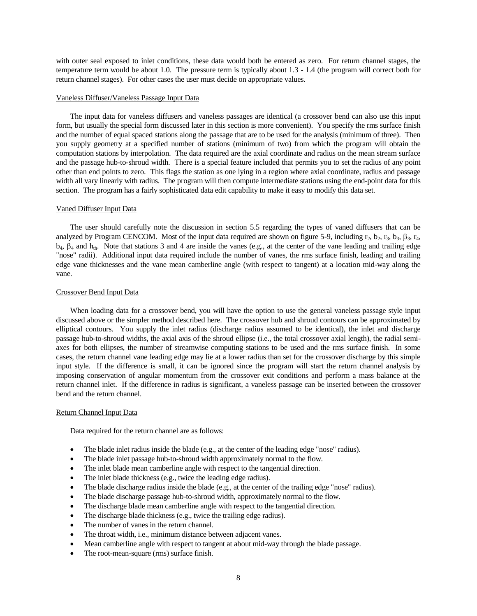with outer seal exposed to inlet conditions, these data would both be entered as zero. For return channel stages, the temperature term would be about 1.0. The pressure term is typically about 1.3 - 1.4 (the program will correct both for return channel stages). For other cases the user must decide on appropriate values.

### Vaneless Diffuser/Vaneless Passage Input Data

The input data for vaneless diffusers and vaneless passages are identical (a crossover bend can also use this input form, but usually the special form discussed later in this section is more convenient). You specify the rms surface finish and the number of equal spaced stations along the passage that are to be used for the analysis (minimum of three). Then you supply geometry at a specified number of stations (minimum of two) from which the program will obtain the computation stations by interpolation. The data required are the axial coordinate and radius on the mean stream surface and the passage hub-to-shroud width. There is a special feature included that permits you to set the radius of any point other than end points to zero. This flags the station as one lying in a region where axial coordinate, radius and passage width all vary linearly with radius. The program will then compute intermediate stations using the end-point data for this section. The program has a fairly sophisticated data edit capability to make it easy to modify this data set.

### Vaned Diffuser Input Data

The user should carefully note the discussion in section 5.5 regarding the types of vaned diffusers that can be analyzed by Program CENCOM. Most of the input data required are shown on figure 5-9, including  $r_2$ ,  $b_2$ ,  $r_3$ ,  $b_3$ ,  $\beta_3$ ,  $r_4$ ,  $b_4$ ,  $\beta_4$  and  $h_{th}$ . Note that stations 3 and 4 are inside the vanes (e.g., at the center of the vane leading and trailing edge "nose" radii). Additional input data required include the number of vanes, the rms surface finish, leading and trailing edge vane thicknesses and the vane mean camberline angle (with respect to tangent) at a location mid-way along the vane.

### Crossover Bend Input Data

When loading data for a crossover bend, you will have the option to use the general vaneless passage style input discussed above or the simpler method described here. The crossover hub and shroud contours can be approximated by elliptical contours. You supply the inlet radius (discharge radius assumed to be identical), the inlet and discharge passage hub-to-shroud widths, the axial axis of the shroud ellipse (i.e., the total crossover axial length), the radial semiaxes for both ellipses, the number of streamwise computing stations to be used and the rms surface finish. In some cases, the return channel vane leading edge may lie at a lower radius than set for the crossover discharge by this simple input style. If the difference is small, it can be ignored since the program will start the return channel analysis by imposing conservation of angular momentum from the crossover exit conditions and perform a mass balance at the return channel inlet. If the difference in radius is significant, a vaneless passage can be inserted between the crossover bend and the return channel.

#### Return Channel Input Data

Data required for the return channel are as follows:

- The blade inlet radius inside the blade (e.g., at the center of the leading edge "nose" radius).
- The blade inlet passage hub-to-shroud width approximately normal to the flow.
- The inlet blade mean camberline angle with respect to the tangential direction.
- The inlet blade thickness (e.g., twice the leading edge radius).
- The blade discharge radius inside the blade (e.g., at the center of the trailing edge "nose" radius).
- The blade discharge passage hub-to-shroud width, approximately normal to the flow.
- The discharge blade mean camberline angle with respect to the tangential direction.
- The discharge blade thickness (e.g., twice the trailing edge radius).
- The number of vanes in the return channel.
- The throat width, i.e., minimum distance between adjacent vanes.
- Mean camberline angle with respect to tangent at about mid-way through the blade passage.
- The root-mean-square (rms) surface finish.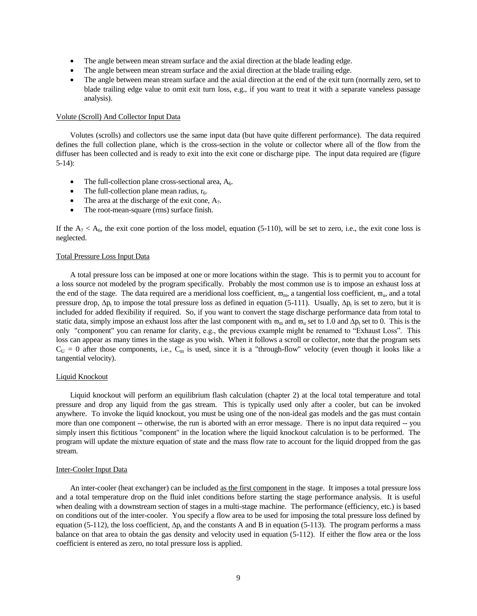- The angle between mean stream surface and the axial direction at the blade leading edge.
- The angle between mean stream surface and the axial direction at the blade trailing edge.
- The angle between mean stream surface and the axial direction at the end of the exit turn (normally zero, set to blade trailing edge value to omit exit turn loss, e.g., if you want to treat it with a separate vaneless passage analysis).

### Volute (Scroll) And Collector Input Data

Volutes (scrolls) and collectors use the same input data (but have quite different performance). The data required defines the full collection plane, which is the cross-section in the volute or collector where all of the flow from the diffuser has been collected and is ready to exit into the exit cone or discharge pipe. The input data required are (figure 5-14):

- The full-collection plane cross-sectional area,  $A<sub>6</sub>$ .
- The full-collection plane mean radius,  $r_6$ .
- The area at the discharge of the exit cone,  $A_7$ .
- The root-mean-square (rms) surface finish.

If the  $A_7 < A_6$ , the exit cone portion of the loss model, equation (5-110), will be set to zero, i.e., the exit cone loss is neglected.

### Total Pressure Loss Input Data

A total pressure loss can be imposed at one or more locations within the stage. This is to permit you to account for a loss source not modeled by the program specifically. Probably the most common use is to impose an exhaust loss at the end of the stage. The data required are a meridional loss coefficient,  $\overline{\omega}_m$ , a tangential loss coefficient,  $\overline{\omega}_u$ , and a total pressure drop,  $\Delta p_t$  to impose the total pressure loss as defined in equation (5-111). Usually,  $\Delta p_t$  is set to zero, but it is included for added flexibility if required. So, if you want to convert the stage discharge performance data from total to static data, simply impose an exhaust loss after the last component with  $\overline{\omega}_{m}$  and  $\overline{\omega}_{u}$  set to 1.0 and  $\Delta p_t$  set to 0. This is the only "component" you can rename for clarity, e.g., the previous example might be renamed to "Exhaust Loss". This loss can appear as many times in the stage as you wish. When it follows a scroll or collector, note that the program sets  $C_U = 0$  after those components, i.e.,  $C_m$  is used, since it is a "through-flow" velocity (even though it looks like a tangential velocity).

## Liquid Knockout

Liquid knockout will perform an equilibrium flash calculation (chapter 2) at the local total temperature and total pressure and drop any liquid from the gas stream. This is typically used only after a cooler, but can be invoked anywhere. To invoke the liquid knockout, you must be using one of the non-ideal gas models and the gas must contain more than one component -- otherwise, the run is aborted with an error message. There is no input data required -- you simply insert this fictitious "component" in the location where the liquid knockout calculation is to be performed. The program will update the mixture equation of state and the mass flow rate to account for the liquid dropped from the gas stream.

### Inter-Cooler Input Data

An inter-cooler (heat exchanger) can be included as the first component in the stage. It imposes a total pressure loss and a total temperature drop on the fluid inlet conditions before starting the stage performance analysis. It is useful when dealing with a downstream section of stages in a multi-stage machine. The performance (efficiency, etc.) is based on conditions out of the inter-cooler. You specify a flow area to be used for imposing the total pressure loss defined by equation (5-112), the loss coefficient,  $\Delta p_t$  and the constants A and B in equation (5-113). The program performs a mass balance on that area to obtain the gas density and velocity used in equation (5-112). If either the flow area or the loss coefficient is entered as zero, no total pressure loss is applied.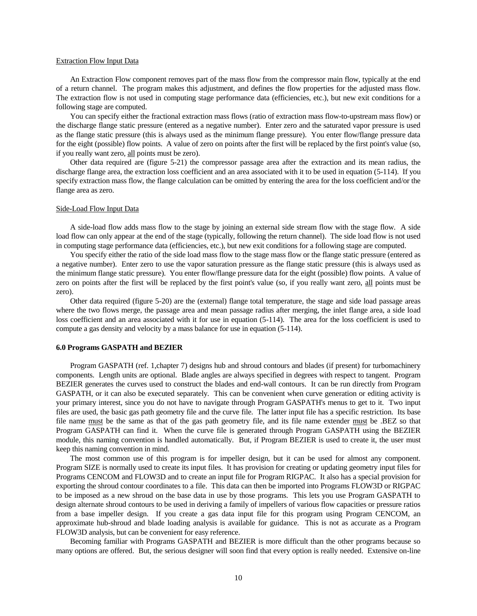### Extraction Flow Input Data

An Extraction Flow component removes part of the mass flow from the compressor main flow, typically at the end of a return channel. The program makes this adjustment, and defines the flow properties for the adjusted mass flow. The extraction flow is not used in computing stage performance data (efficiencies, etc.), but new exit conditions for a following stage are computed.

You can specify either the fractional extraction mass flows (ratio of extraction mass flow-to-upstream mass flow) or the discharge flange static pressure (entered as a negative number). Enter zero and the saturated vapor pressure is used as the flange static pressure (this is always used as the minimum flange pressure). You enter flow/flange pressure data for the eight (possible) flow points. A value of zero on points after the first will be replaced by the first point's value (so, if you really want zero, all points must be zero).

Other data required are (figure 5-21) the compressor passage area after the extraction and its mean radius, the discharge flange area, the extraction loss coefficient and an area associated with it to be used in equation (5-114). If you specify extraction mass flow, the flange calculation can be omitted by entering the area for the loss coefficient and/or the flange area as zero.

### Side-Load Flow Input Data

A side-load flow adds mass flow to the stage by joining an external side stream flow with the stage flow. A side load flow can only appear at the end of the stage (typically, following the return channel). The side load flow is not used in computing stage performance data (efficiencies, etc.), but new exit conditions for a following stage are computed.

You specify either the ratio of the side load mass flow to the stage mass flow or the flange static pressure (entered as a negative number). Enter zero to use the vapor saturation pressure as the flange static pressure (this is always used as the minimum flange static pressure). You enter flow/flange pressure data for the eight (possible) flow points. A value of zero on points after the first will be replaced by the first point's value (so, if you really want zero, all points must be zero).

Other data required (figure 5-20) are the (external) flange total temperature, the stage and side load passage areas where the two flows merge, the passage area and mean passage radius after merging, the inlet flange area, a side load loss coefficient and an area associated with it for use in equation (5-114). The area for the loss coefficient is used to compute a gas density and velocity by a mass balance for use in equation (5-114).

#### **6.0 Programs GASPATH and BEZIER**

Program GASPATH (ref. 1,chapter 7) designs hub and shroud contours and blades (if present) for turbomachinery components. Length units are optional. Blade angles are always specified in degrees with respect to tangent. Program BEZIER generates the curves used to construct the blades and end-wall contours. It can be run directly from Program GASPATH, or it can also be executed separately. This can be convenient when curve generation or editing activity is your primary interest, since you do not have to navigate through Program GASPATH's menus to get to it. Two input files are used, the basic gas path geometry file and the curve file. The latter input file has a specific restriction. Its base file name must be the same as that of the gas path geometry file, and its file name extender must be .BEZ so that Program GASPATH can find it. When the curve file is generated through Program GASPATH using the BEZIER module, this naming convention is handled automatically. But, if Program BEZIER is used to create it, the user must keep this naming convention in mind.

The most common use of this program is for impeller design, but it can be used for almost any component. Program SIZE is normally used to create its input files. It has provision for creating or updating geometry input files for Programs CENCOM and FLOW3D and to create an input file for Program RIGPAC. It also has a special provision for exporting the shroud contour coordinates to a file. This data can then be imported into Programs FLOW3D or RIGPAC to be imposed as a new shroud on the base data in use by those programs. This lets you use Program GASPATH to design alternate shroud contours to be used in deriving a family of impellers of various flow capacities or pressure ratios from a base impeller design. If you create a gas data input file for this program using Program CENCOM, an approximate hub-shroud and blade loading analysis is available for guidance. This is not as accurate as a Program FLOW3D analysis, but can be convenient for easy reference.

Becoming familiar with Programs GASPATH and BEZIER is more difficult than the other programs because so many options are offered. But, the serious designer will soon find that every option is really needed. Extensive on-line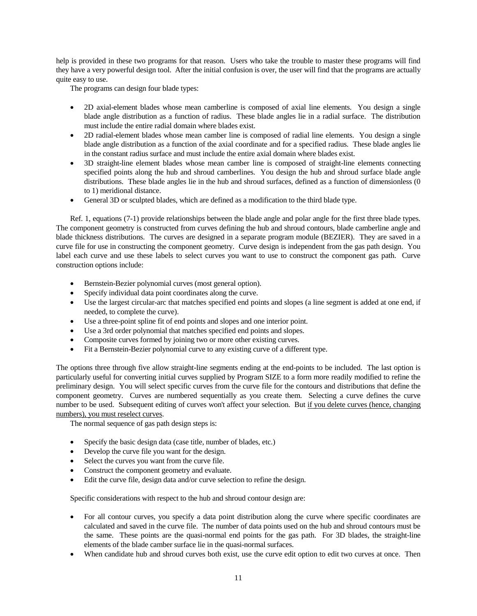help is provided in these two programs for that reason. Users who take the trouble to master these programs will find they have a very powerful design tool. After the initial confusion is over, the user will find that the programs are actually quite easy to use.

The programs can design four blade types:

- 2D axial-element blades whose mean camberline is composed of axial line elements. You design a single blade angle distribution as a function of radius. These blade angles lie in a radial surface. The distribution must include the entire radial domain where blades exist.
- 2D radial-element blades whose mean camber line is composed of radial line elements. You design a single blade angle distribution as a function of the axial coordinate and for a specified radius. These blade angles lie in the constant radius surface and must include the entire axial domain where blades exist.
- 3D straight-line element blades whose mean camber line is composed of straight-line elements connecting specified points along the hub and shroud camberlines. You design the hub and shroud surface blade angle distributions. These blade angles lie in the hub and shroud surfaces, defined as a function of dimensionless (0 to 1) meridional distance.
- General 3D or sculpted blades, which are defined as a modification to the third blade type.

Ref. 1, equations (7-1) provide relationships between the blade angle and polar angle for the first three blade types. The component geometry is constructed from curves defining the hub and shroud contours, blade camberline angle and blade thickness distributions. The curves are designed in a separate program module (BEZIER). They are saved in a curve file for use in constructing the component geometry. Curve design is independent from the gas path design. You label each curve and use these labels to select curves you want to use to construct the component gas path. Curve construction options include:

- Bernstein-Bezier polynomial curves (most general option).
- Specify individual data point coordinates along the curve.
- Use the largest circular-arc that matches specified end points and slopes (a line segment is added at one end, if needed, to complete the curve).
- Use a three-point spline fit of end points and slopes and one interior point.
- Use a 3rd order polynomial that matches specified end points and slopes.
- Composite curves formed by joining two or more other existing curves.
- Fit a Bernstein-Bezier polynomial curve to any existing curve of a different type.

The options three through five allow straight-line segments ending at the end-points to be included. The last option is particularly useful for converting initial curves supplied by Program SIZE to a form more readily modified to refine the preliminary design. You will select specific curves from the curve file for the contours and distributions that define the component geometry. Curves are numbered sequentially as you create them. Selecting a curve defines the curve number to be used. Subsequent editing of curves won't affect your selection. But if you delete curves (hence, changing numbers), you must reselect curves.

The normal sequence of gas path design steps is:

- Specify the basic design data (case title, number of blades, etc.)
- Develop the curve file you want for the design.
- Select the curves you want from the curve file.
- Construct the component geometry and evaluate.
- Edit the curve file, design data and/or curve selection to refine the design.

Specific considerations with respect to the hub and shroud contour design are:

- For all contour curves, you specify a data point distribution along the curve where specific coordinates are calculated and saved in the curve file. The number of data points used on the hub and shroud contours must be the same. These points are the quasi-normal end points for the gas path. For 3D blades, the straight-line elements of the blade camber surface lie in the quasi-normal surfaces.
- When candidate hub and shroud curves both exist, use the curve edit option to edit two curves at once. Then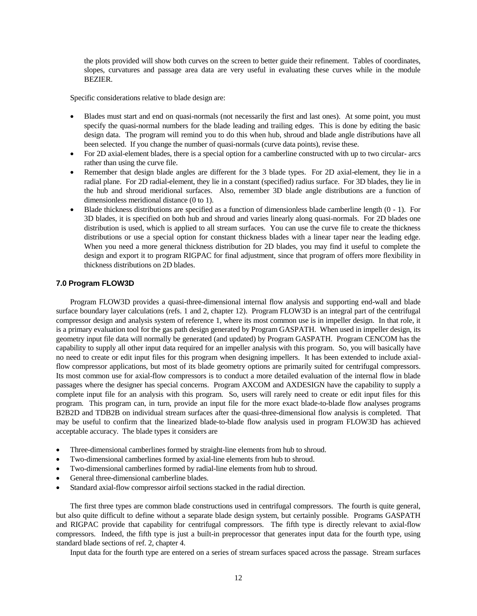the plots provided will show both curves on the screen to better guide their refinement. Tables of coordinates, slopes, curvatures and passage area data are very useful in evaluating these curves while in the module BEZIER.

Specific considerations relative to blade design are:

- Blades must start and end on quasi-normals (not necessarily the first and last ones). At some point, you must specify the quasi-normal numbers for the blade leading and trailing edges. This is done by editing the basic design data. The program will remind you to do this when hub, shroud and blade angle distributions have all been selected. If you change the number of quasi-normals (curve data points), revise these.
- For 2D axial-element blades, there is a special option for a camberline constructed with up to two circular- arcs rather than using the curve file.
- Remember that design blade angles are different for the 3 blade types. For 2D axial-element, they lie in a radial plane. For 2D radial-element, they lie in a constant (specified) radius surface. For 3D blades, they lie in the hub and shroud meridional surfaces. Also, remember 3D blade angle distributions are a function of dimensionless meridional distance (0 to 1).
- Blade thickness distributions are specified as a function of dimensionless blade camberline length (0 1). For 3D blades, it is specified on both hub and shroud and varies linearly along quasi-normals. For 2D blades one distribution is used, which is applied to all stream surfaces. You can use the curve file to create the thickness distributions or use a special option for constant thickness blades with a linear taper near the leading edge. When you need a more general thickness distribution for 2D blades, you may find it useful to complete the design and export it to program RIGPAC for final adjustment, since that program of offers more flexibility in thickness distributions on 2D blades.

## **7.0 Program FLOW3D**

Program FLOW3D provides a quasi-three-dimensional internal flow analysis and supporting end-wall and blade surface boundary layer calculations (refs. 1 and 2, chapter 12). Program FLOW3D is an integral part of the centrifugal compressor design and analysis system of reference 1, where its most common use is in impeller design. In that role, it is a primary evaluation tool for the gas path design generated by Program GASPATH. When used in impeller design, its geometry input file data will normally be generated (and updated) by Program GASPATH. Program CENCOM has the capability to supply all other input data required for an impeller analysis with this program. So, you will basically have no need to create or edit input files for this program when designing impellers. It has been extended to include axialflow compressor applications, but most of its blade geometry options are primarily suited for centrifugal compressors. Its most common use for axial-flow compressors is to conduct a more detailed evaluation of the internal flow in blade passages where the designer has special concerns. Program AXCOM and AXDESIGN have the capability to supply a complete input file for an analysis with this program. So, users will rarely need to create or edit input files for this program. This program can, in turn, provide an input file for the more exact blade-to-blade flow analyses programs B2B2D and TDB2B on individual stream surfaces after the quasi-three-dimensional flow analysis is completed. That may be useful to confirm that the linearized blade-to-blade flow analysis used in program FLOW3D has achieved acceptable accuracy. The blade types it considers are

- Three-dimensional camberlines formed by straight-line elements from hub to shroud.
- Two-dimensional camberlines formed by axial-line elements from hub to shroud.
- Two-dimensional camberlines formed by radial-line elements from hub to shroud.
- General three-dimensional camberline blades.
- Standard axial-flow compressor airfoil sections stacked in the radial direction.

The first three types are common blade constructions used in centrifugal compressors. The fourth is quite general, but also quite difficult to define without a separate blade design system, but certainly possible. Programs GASPATH and RIGPAC provide that capability for centrifugal compressors. The fifth type is directly relevant to axial-flow compressors. Indeed, the fifth type is just a built-in preprocessor that generates input data for the fourth type, using standard blade sections of ref. 2, chapter 4.

Input data for the fourth type are entered on a series of stream surfaces spaced across the passage. Stream surfaces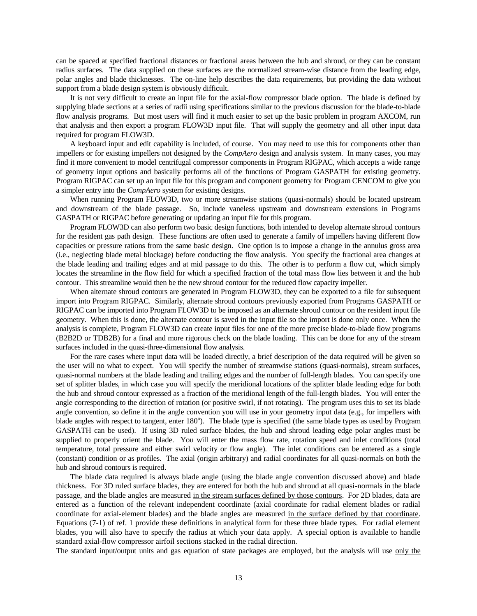can be spaced at specified fractional distances or fractional areas between the hub and shroud, or they can be constant radius surfaces. The data supplied on these surfaces are the normalized stream-wise distance from the leading edge, polar angles and blade thicknesses. The on-line help describes the data requirements, but providing the data without support from a blade design system is obviously difficult.

It is not very difficult to create an input file for the axial-flow compressor blade option. The blade is defined by supplying blade sections at a series of radii using specifications similar to the previous discussion for the blade-to-blade flow analysis programs. But most users will find it much easier to set up the basic problem in program AXCOM, run that analysis and then export a program FLOW3D input file. That will supply the geometry and all other input data required for program FLOW3D.

A keyboard input and edit capability is included, of course. You may need to use this for components other than impellers or for existing impellers not designed by the *CompAero* design and analysis system. In many cases, you may find it more convenient to model centrifugal compressor components in Program RIGPAC, which accepts a wide range of geometry input options and basically performs all of the functions of Program GASPATH for existing geometry. Program RIGPAC can set up an input file for this program and component geometry for Program CENCOM to give you a simpler entry into the *CompAero* system for existing designs.

When running Program FLOW3D, two or more streamwise stations (quasi-normals) should be located upstream and downstream of the blade passage. So, include vaneless upstream and downstream extensions in Programs GASPATH or RIGPAC before generating or updating an input file for this program.

Program FLOW3D can also perform two basic design functions, both intended to develop alternate shroud contours for the resident gas path design. These functions are often used to generate a family of impellers having different flow capacities or pressure rations from the same basic design. One option is to impose a change in the annulus gross area (i.e., neglecting blade metal blockage) before conducting the flow analysis. You specify the fractional area changes at the blade leading and trailing edges and at mid passage to do this. The other is to perform a flow cut, which simply locates the streamline in the flow field for which a specified fraction of the total mass flow lies between it and the hub contour. This streamline would then be the new shroud contour for the reduced flow capacity impeller.

When alternate shroud contours are generated in Program FLOW3D, they can be exported to a file for subsequent import into Program RIGPAC. Similarly, alternate shroud contours previously exported from Programs GASPATH or RIGPAC can be imported into Program FLOW3D to be imposed as an alternate shroud contour on the resident input file geometry. When this is done, the alternate contour is saved in the input file so the import is done only once. When the analysis is complete, Program FLOW3D can create input files for one of the more precise blade-to-blade flow programs (B2B2D or TDB2B) for a final and more rigorous check on the blade loading. This can be done for any of the stream surfaces included in the quasi-three-dimensional flow analysis.

For the rare cases where input data will be loaded directly, a brief description of the data required will be given so the user will no what to expect. You will specify the number of streamwise stations (quasi-normals), stream surfaces, quasi-normal numbers at the blade leading and trailing edges and the number of full-length blades. You can specify one set of splitter blades, in which case you will specify the meridional locations of the splitter blade leading edge for both the hub and shroud contour expressed as a fraction of the meridional length of the full-length blades. You will enter the angle corresponding to the direction of rotation (or positive swirl, if not rotating). The program uses this to set its blade angle convention, so define it in the angle convention you will use in your geometry input data (e.g., for impellers with blade angles with respect to tangent, enter 180°). The blade type is specified (the same blade types as used by Program GASPATH can be used). If using 3D ruled surface blades, the hub and shroud leading edge polar angles must be supplied to properly orient the blade. You will enter the mass flow rate, rotation speed and inlet conditions (total temperature, total pressure and either swirl velocity or flow angle). The inlet conditions can be entered as a single (constant) condition or as profiles. The axial (origin arbitrary) and radial coordinates for all quasi-normals on both the hub and shroud contours is required.

The blade data required is always blade angle (using the blade angle convention discussed above) and blade thickness. For 3D ruled surface blades, they are entered for both the hub and shroud at all quasi-normals in the blade passage, and the blade angles are measured in the stream surfaces defined by those contours. For 2D blades, data are entered as a function of the relevant independent coordinate (axial coordinate for radial element blades or radial coordinate for axial-element blades) and the blade angles are measured in the surface defined by that coordinate. Equations (7-1) of ref. 1 provide these definitions in analytical form for these three blade types. For radial element blades, you will also have to specify the radius at which your data apply. A special option is available to handle standard axial-flow compressor airfoil sections stacked in the radial direction.

The standard input/output units and gas equation of state packages are employed, but the analysis will use only the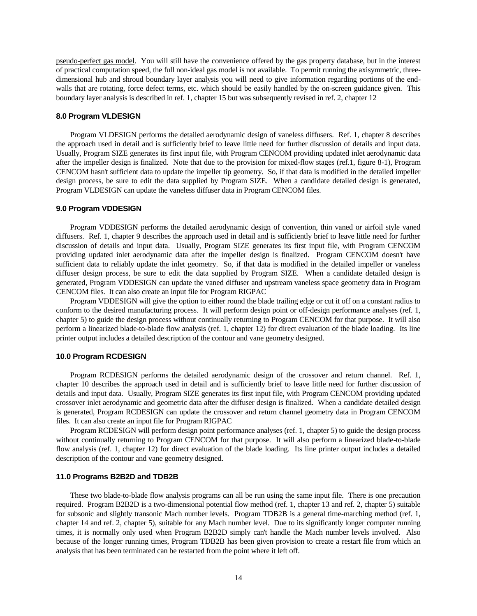pseudo-perfect gas model. You will still have the convenience offered by the gas property database, but in the interest of practical computation speed, the full non-ideal gas model is not available. To permit running the axisymmetric, threedimensional hub and shroud boundary layer analysis you will need to give information regarding portions of the endwalls that are rotating, force defect terms, etc. which should be easily handled by the on-screen guidance given. This boundary layer analysis is described in ref. 1, chapter 15 but was subsequently revised in ref. 2, chapter 12

## **8.0 Program VLDESIGN**

Program VLDESIGN performs the detailed aerodynamic design of vaneless diffusers. Ref. 1, chapter 8 describes the approach used in detail and is sufficiently brief to leave little need for further discussion of details and input data. Usually, Program SIZE generates its first input file, with Program CENCOM providing updated inlet aerodynamic data after the impeller design is finalized. Note that due to the provision for mixed-flow stages (ref.1, figure 8-1), Program CENCOM hasn't sufficient data to update the impeller tip geometry. So, if that data is modified in the detailed impeller design process, be sure to edit the data supplied by Program SIZE. When a candidate detailed design is generated, Program VLDESIGN can update the vaneless diffuser data in Program CENCOM files.

### **9.0 Program VDDESIGN**

Program VDDESIGN performs the detailed aerodynamic design of convention, thin vaned or airfoil style vaned diffusers. Ref. 1, chapter 9 describes the approach used in detail and is sufficiently brief to leave little need for further discussion of details and input data. Usually, Program SIZE generates its first input file, with Program CENCOM providing updated inlet aerodynamic data after the impeller design is finalized. Program CENCOM doesn't have sufficient data to reliably update the inlet geometry. So, if that data is modified in the detailed impeller or vaneless diffuser design process, be sure to edit the data supplied by Program SIZE. When a candidate detailed design is generated, Program VDDESIGN can update the vaned diffuser and upstream vaneless space geometry data in Program CENCOM files. It can also create an input file for Program RIGPAC

Program VDDESIGN will give the option to either round the blade trailing edge or cut it off on a constant radius to conform to the desired manufacturing process. It will perform design point or off-design performance analyses (ref. 1, chapter 5) to guide the design process without continually returning to Program CENCOM for that purpose. It will also perform a linearized blade-to-blade flow analysis (ref. 1, chapter 12) for direct evaluation of the blade loading. Its line printer output includes a detailed description of the contour and vane geometry designed.

### **10.0 Program RCDESIGN**

Program RCDESIGN performs the detailed aerodynamic design of the crossover and return channel. Ref. 1, chapter 10 describes the approach used in detail and is sufficiently brief to leave little need for further discussion of details and input data. Usually, Program SIZE generates its first input file, with Program CENCOM providing updated crossover inlet aerodynamic and geometric data after the diffuser design is finalized. When a candidate detailed design is generated, Program RCDESIGN can update the crossover and return channel geometry data in Program CENCOM files. It can also create an input file for Program RIGPAC

Program RCDESIGN will perform design point performance analyses (ref. 1, chapter 5) to guide the design process without continually returning to Program CENCOM for that purpose. It will also perform a linearized blade-to-blade flow analysis (ref. 1, chapter 12) for direct evaluation of the blade loading. Its line printer output includes a detailed description of the contour and vane geometry designed.

## **11.0 Programs B2B2D and TDB2B**

These two blade-to-blade flow analysis programs can all be run using the same input file. There is one precaution required. Program B2B2D is a two-dimensional potential flow method (ref. 1, chapter 13 and ref. 2, chapter 5) suitable for subsonic and slightly transonic Mach number levels. Program TDB2B is a general time-marching method (ref. 1, chapter 14 and ref. 2, chapter 5), suitable for any Mach number level. Due to its significantly longer computer running times, it is normally only used when Program B2B2D simply can't handle the Mach number levels involved. Also because of the longer running times, Program TDB2B has been given provision to create a restart file from which an analysis that has been terminated can be restarted from the point where it left off.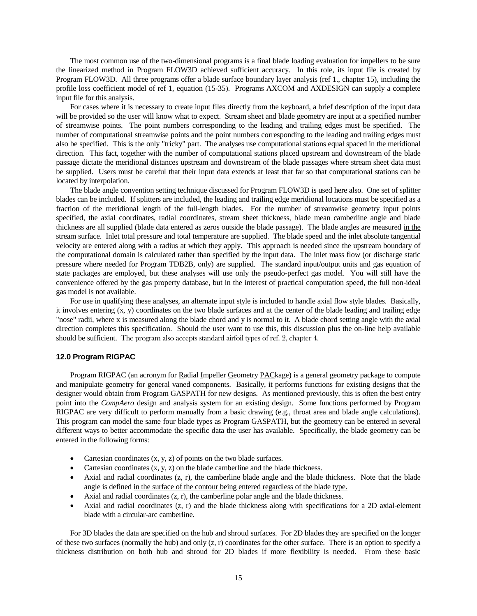The most common use of the two-dimensional programs is a final blade loading evaluation for impellers to be sure the linearized method in Program FLOW3D achieved sufficient accuracy. In this role, its input file is created by Program FLOW3D. All three programs offer a blade surface boundary layer analysis (ref 1., chapter 15), including the profile loss coefficient model of ref 1, equation (15-35). Programs AXCOM and AXDESIGN can supply a complete input file for this analysis.

For cases where it is necessary to create input files directly from the keyboard, a brief description of the input data will be provided so the user will know what to expect. Stream sheet and blade geometry are input at a specified number of streamwise points. The point numbers corresponding to the leading and trailing edges must be specified. The number of computational streamwise points and the point numbers corresponding to the leading and trailing edges must also be specified. This is the only "tricky" part. The analyses use computational stations equal spaced in the meridional direction. This fact, together with the number of computational stations placed upstream and downstream of the blade passage dictate the meridional distances upstream and downstream of the blade passages where stream sheet data must be supplied. Users must be careful that their input data extends at least that far so that computational stations can be located by interpolation.

The blade angle convention setting technique discussed for Program FLOW3D is used here also. One set of splitter blades can be included. If splitters are included, the leading and trailing edge meridional locations must be specified as a fraction of the meridional length of the full-length blades. For the number of streamwise geometry input points specified, the axial coordinates, radial coordinates, stream sheet thickness, blade mean camberline angle and blade thickness are all supplied (blade data entered as zeros outside the blade passage). The blade angles are measured in the stream surface. Inlet total pressure and total temperature are supplied. The blade speed and the inlet absolute tangential velocity are entered along with a radius at which they apply. This approach is needed since the upstream boundary of the computational domain is calculated rather than specified by the input data. The inlet mass flow (or discharge static pressure where needed for Program TDB2B, only) are supplied. The standard input/output units and gas equation of state packages are employed, but these analyses will use only the pseudo-perfect gas model. You will still have the convenience offered by the gas property database, but in the interest of practical computation speed, the full non-ideal gas model is not available.

For use in qualifying these analyses, an alternate input style is included to handle axial flow style blades. Basically, it involves entering (x, y) coordinates on the two blade surfaces and at the center of the blade leading and trailing edge "nose" radii, where x is measured along the blade chord and y is normal to it. A blade chord setting angle with the axial direction completes this specification. Should the user want to use this, this discussion plus the on-line help available should be sufficient. The program also accepts standard airfoil types of ref. 2, chapter 4.

### **12.0 Program RIGPAC**

Program RIGPAC (an acronym for Radial Impeller Geometry PACkage) is a general geometry package to compute and manipulate geometry for general vaned components. Basically, it performs functions for existing designs that the designer would obtain from Program GASPATH for new designs. As mentioned previously, this is often the best entry point into the *CompAero* design and analysis system for an existing design. Some functions performed by Program RIGPAC are very difficult to perform manually from a basic drawing (e.g., throat area and blade angle calculations). This program can model the same four blade types as Program GASPATH, but the geometry can be entered in several different ways to better accommodate the specific data the user has available. Specifically, the blade geometry can be entered in the following forms:

- Cartesian coordinates (x, y, z) of points on the two blade surfaces.
- Cartesian coordinates (x, y, z) on the blade camberline and the blade thickness.
- Axial and radial coordinates (z, r), the camberline blade angle and the blade thickness. Note that the blade angle is defined in the surface of the contour being entered regardless of the blade type.
- Axial and radial coordinates (z, r), the camberline polar angle and the blade thickness.
- Axial and radial coordinates (z, r) and the blade thickness along with specifications for a 2D axial-element blade with a circular-arc camberline.

For 3D blades the data are specified on the hub and shroud surfaces. For 2D blades they are specified on the longer of these two surfaces (normally the hub) and only  $(z, r)$  coordinates for the other surface. There is an option to specify a thickness distribution on both hub and shroud for 2D blades if more flexibility is needed. From these basic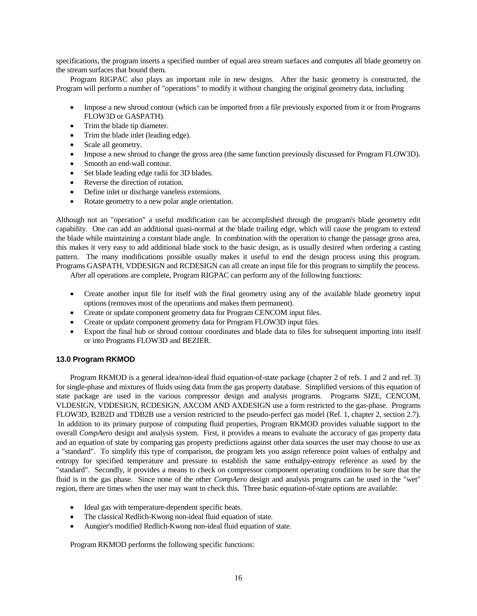specifications, the program inserts a specified number of equal area stream surfaces and computes all blade geometry on the stream surfaces that bound them.

Program RIGPAC also plays an important role in new designs. After the basic geometry is constructed, the Program will perform a number of "operations" to modify it without changing the original geometry data, including

- Impose a new shroud contour (which can be imported from a file previously exported from it or from Programs FLOW3D or GASPATH).
- Trim the blade tip diameter.
- Trim the blade inlet (leading edge).
- Scale all geometry.
- Impose a new shroud to change the gross area (the same function previously discussed for Program FLOW3D).
- Smooth an end-wall contour.
- Set blade leading edge radii for 3D blades.
- Reverse the direction of rotation.
- Define inlet or discharge vaneless extensions.
- Rotate geometry to a new polar angle orientation.

Although not an "operation" a useful modification can be accomplished through the program's blade geometry edit capability. One can add an additional quasi-normal at the blade trailing edge, which will cause the program to extend the blade while maintaining a constant blade angle. In combination with the operation to change the passage gross area, this makes it very easy to add additional blade stock to the basic design, as is usually desired when ordering a casting pattern. The many modifications possible usually makes it useful to end the design process using this program. Programs GASPATH, VDDESIGN and RCDESIGN can all create an input file for this program to simplify the process.

After all operations are complete, Program RIGPAC can perform any of the following functions:

- Create another input file for itself with the final geometry using any of the available blade geometry input options (removes most of the operations and makes them permanent).
- Create or update component geometry data for Program CENCOM input files.
- Create or update component geometry data for Program FLOW3D input files.
- Export the final hub or shroud contour coordinates and blade data to files for subsequent importing into itself or into Programs FLOW3D and BEZIER.

## **13.0 Program RKMOD**

Program RKMOD is a general idea/non-ideal fluid equation-of-state package (chapter 2 of refs. 1 and 2 and ref. 3) for single-phase and mixtures of fluids using data from the gas property database. Simplified versions of this equation of state package are used in the various compressor design and analysis programs. Programs SIZE, CENCOM, VLDESIGN, VDDESIGN, RCDESIGN, AXCOM AND AXDESIGN use a form restricted to the gas-phase. Programs FLOW3D, B2B2D and TDB2B use a version restricted to the pseudo-perfect gas model (Ref. 1, chapter 2, section 2.7). In addition to its primary purpose of computing fluid properties, Program RKMOD provides valuable support to the overall *CompAero* design and analysis system. First, it provides a means to evaluate the accuracy of gas property data and an equation of state by comparing gas property predictions against other data sources the user may choose to use as a "standard". To simplify this type of comparison, the program lets you assign reference point values of enthalpy and entropy for specified temperature and pressure to establish the same enthalpy-entropy reference as used by the "standard". Secondly, it provides a means to check on compressor component operating conditions to be sure that the fluid is in the gas phase. Since none of the other *CompAero* design and analysis programs can be used in the "wet" region, there are times when the user may want to check this. Three basic equation-of-state options are available:

- Ideal gas with temperature-dependent specific heats.
- The classical Redlich-Kwong non-ideal fluid equation of state.
- Aungier's modified Redlich-Kwong non-ideal fluid equation of state.

Program RKMOD performs the following specific functions: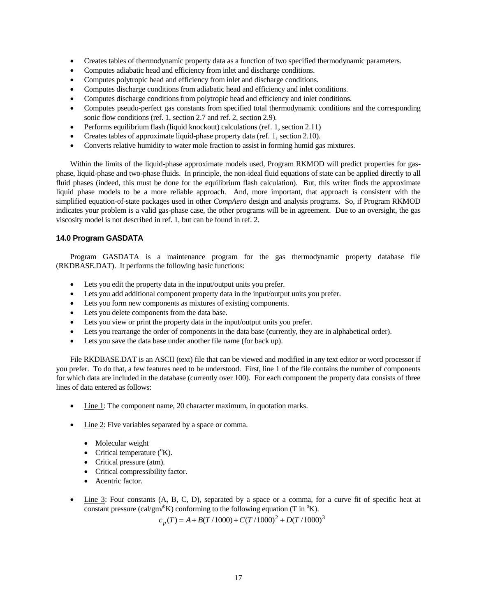- Creates tables of thermodynamic property data as a function of two specified thermodynamic parameters.
- Computes adiabatic head and efficiency from inlet and discharge conditions.
- Computes polytropic head and efficiency from inlet and discharge conditions.
- Computes discharge conditions from adiabatic head and efficiency and inlet conditions.
- Computes discharge conditions from polytropic head and efficiency and inlet conditions.
- Computes pseudo-perfect gas constants from specified total thermodynamic conditions and the corresponding sonic flow conditions (ref. 1, section 2.7 and ref. 2, section 2.9).
- Performs equilibrium flash (liquid knockout) calculations (ref. 1, section 2.11)
- Creates tables of approximate liquid-phase property data (ref. 1, section 2.10).
- Converts relative humidity to water mole fraction to assist in forming humid gas mixtures.

Within the limits of the liquid-phase approximate models used, Program RKMOD will predict properties for gasphase, liquid-phase and two-phase fluids. In principle, the non-ideal fluid equations of state can be applied directly to all fluid phases (indeed, this must be done for the equilibrium flash calculation). But, this writer finds the approximate liquid phase models to be a more reliable approach. And, more important, that approach is consistent with the simplified equation-of-state packages used in other *CompAero* design and analysis programs. So, if Program RKMOD indicates your problem is a valid gas-phase case, the other programs will be in agreement. Due to an oversight, the gas viscosity model is not described in ref. 1, but can be found in ref. 2.

# **14.0 Program GASDATA**

Program GASDATA is a maintenance program for the gas thermodynamic property database file (RKDBASE.DAT). It performs the following basic functions:

- Lets you edit the property data in the input/output units you prefer.
- Lets you add additional component property data in the input/output units you prefer.
- Lets you form new components as mixtures of existing components.
- Lets you delete components from the data base.
- Lets you view or print the property data in the input/output units you prefer.
- Lets you rearrange the order of components in the data base (currently, they are in alphabetical order).
- Lets you save the data base under another file name (for back up).

File RKDBASE.DAT is an ASCII (text) file that can be viewed and modified in any text editor or word processor if you prefer. To do that, a few features need to be understood. First, line 1 of the file contains the number of components for which data are included in the database (currently over 100). For each component the property data consists of three lines of data entered as follows:

- Line 1: The component name, 20 character maximum, in quotation marks.
- Line 2: Five variables separated by a space or comma.
	- Molecular weight
	- Critical temperature  $({}^{\circ}K)$ .
	- Critical pressure (atm).
	- Critical compressibility factor.
	- Acentric factor.
- Line 3: Four constants (A, B, C, D), separated by a space or a comma, for a curve fit of specific heat at constant pressure (cal/gm/ $(K)$ ) conforming to the following equation (T in  $K$ ).

 $c_p(T) = A + B(T/1000) + C(T/1000)^2 + D(T/1000)^3$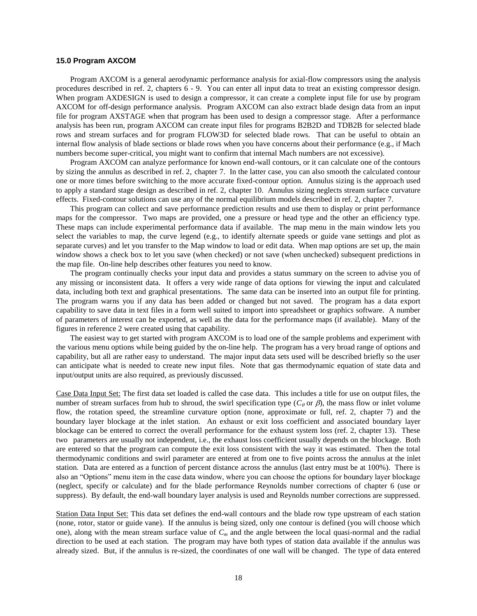### **15.0 Program AXCOM**

Program AXCOM is a general aerodynamic performance analysis for axial-flow compressors using the analysis procedures described in ref. 2, chapters 6 - 9. You can enter all input data to treat an existing compressor design. When program AXDESIGN is used to design a compressor, it can create a complete input file for use by program AXCOM for off-design performance analysis. Program AXCOM can also extract blade design data from an input file for program AXSTAGE when that program has been used to design a compressor stage. After a performance analysis has been run, program AXCOM can create input files for programs B2B2D and TDB2B for selected blade rows and stream surfaces and for program FLOW3D for selected blade rows. That can be useful to obtain an internal flow analysis of blade sections or blade rows when you have concerns about their performance (e.g., if Mach numbers become super-critical, you might want to confirm that internal Mach numbers are not excessive).

Program AXCOM can analyze performance for known end-wall contours, or it can calculate one of the contours by sizing the annulus as described in ref. 2, chapter 7. In the latter case, you can also smooth the calculated contour one or more times before switching to the more accurate fixed-contour option. Annulus sizing is the approach used to apply a standard stage design as described in ref. 2, chapter 10. Annulus sizing neglects stream surface curvature effects. Fixed-contour solutions can use any of the normal equilibrium models described in ref. 2, chapter 7.

This program can collect and save performance prediction results and use them to display or print performance maps for the compressor. Two maps are provided, one a pressure or head type and the other an efficiency type. These maps can include experimental performance data if available. The map menu in the main window lets you select the variables to map, the curve legend (e.g., to identify alternate speeds or guide vane settings and plot as separate curves) and let you transfer to the Map window to load or edit data. When map options are set up, the main window shows a check box to let you save (when checked) or not save (when unchecked) subsequent predictions in the map file. On-line help describes other features you need to know.

The program continually checks your input data and provides a status summary on the screen to advise you of any missing or inconsistent data. It offers a very wide range of data options for viewing the input and calculated data, including both text and graphical presentations. The same data can be inserted into an output file for printing. The program warns you if any data has been added or changed but not saved. The program has a data export capability to save data in text files in a form well suited to import into spreadsheet or graphics software. A number of parameters of interest can be exported, as well as the data for the performance maps (if available). Many of the figures in reference 2 were created using that capability.

The easiest way to get started with program AXCOM is to load one of the sample problems and experiment with the various menu options while being guided by the on-line help. The program has a very broad range of options and capability, but all are rather easy to understand. The major input data sets used will be described briefly so the user can anticipate what is needed to create new input files. Note that gas thermodynamic equation of state data and input/output units are also required, as previously discussed.

Case Data Input Set: The first data set loaded is called the case data. This includes a title for use on output files, the number of stream surfaces from hub to shroud, the swirl specification type  $(C_\theta$  or  $\beta$ ), the mass flow or inlet volume flow, the rotation speed, the streamline curvature option (none, approximate or full, ref. 2, chapter 7) and the boundary layer blockage at the inlet station. An exhaust or exit loss coefficient and associated boundary layer blockage can be entered to correct the overall performance for the exhaust system loss (ref. 2, chapter 13). These two parameters are usually not independent, i.e., the exhaust loss coefficient usually depends on the blockage. Both are entered so that the program can compute the exit loss consistent with the way it was estimated. Then the total thermodynamic conditions and swirl parameter are entered at from one to five points across the annulus at the inlet station. Data are entered as a function of percent distance across the annulus (last entry must be at 100%). There is also an "Options" menu item in the case data window, where you can choose the options for boundary layer blockage (neglect, specify or calculate) and for the blade performance Reynolds number corrections of chapter 6 (use or suppress). By default, the end-wall boundary layer analysis is used and Reynolds number corrections are suppressed.

Station Data Input Set: This data set defines the end-wall contours and the blade row type upstream of each station (none, rotor, stator or guide vane). If the annulus is being sized, only one contour is defined (you will choose which one), along with the mean stream surface value of *C<sup>m</sup>* and the angle between the local quasi-normal and the radial direction to be used at each station. The program may have both types of station data available if the annulus was already sized. But, if the annulus is re-sized, the coordinates of one wall will be changed. The type of data entered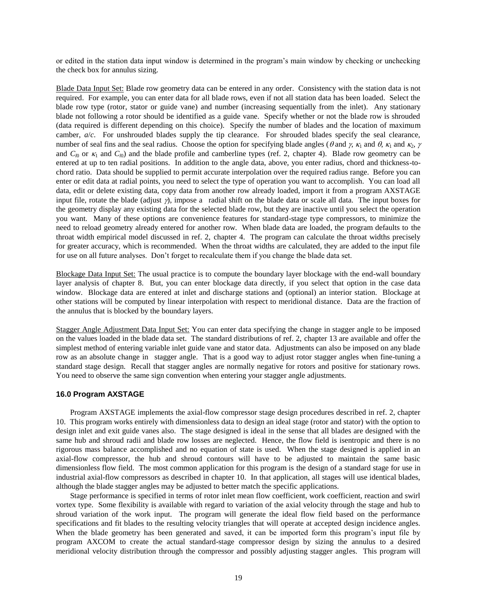or edited in the station data input window is determined in the program's main window by checking or unchecking the check box for annulus sizing.

Blade Data Input Set: Blade row geometry data can be entered in any order. Consistency with the station data is not required. For example, you can enter data for all blade rows, even if not all station data has been loaded. Select the blade row type (rotor, stator or guide vane) and number (increasing sequentially from the inlet). Any stationary blade not following a rotor should be identified as a guide vane. Specify whether or not the blade row is shrouded (data required is different depending on this choice). Specify the number of blades and the location of maximum camber,  $a/c$ . For unshrouded blades supply the tip clearance. For shrouded blades specify the seal clearance, number of seal fins and the seal radius. Choose the option for specifying blade angles ( $\theta$  and  $\gamma$ ,  $\kappa_1$  and  $\alpha$ ,  $\kappa_1$  and  $\kappa_2$ ,  $\gamma$ and  $C_{l0}$  or  $\kappa_1$  and  $C_{l0}$ ) and the blade profile and camberline types (ref. 2, chapter 4). Blade row geometry can be entered at up to ten radial positions. In addition to the angle data, above, you enter radius, chord and thickness-tochord ratio. Data should be supplied to permit accurate interpolation over the required radius range. Before you can enter or edit data at radial points, you need to select the type of operation you want to accomplish. You can load all data, edit or delete existing data, copy data from another row already loaded, import it from a program AXSTAGE input file, rotate the blade (adjust  $\gamma$ ), impose a radial shift on the blade data or scale all data. The input boxes for the geometry display any existing data for the selected blade row, but they are inactive until you select the operation you want. Many of these options are convenience features for standard-stage type compressors, to minimize the need to reload geometry already entered for another row. When blade data are loaded, the program defaults to the throat width empirical model discussed in ref. 2, chapter 4. The program can calculate the throat widths precisely for greater accuracy, which is recommended. When the throat widths are calculated, they are added to the input file for use on all future analyses. Don't forget to recalculate them if you change the blade data set.

Blockage Data Input Set: The usual practice is to compute the boundary layer blockage with the end-wall boundary layer analysis of chapter 8. But, you can enter blockage data directly, if you select that option in the case data window. Blockage data are entered at inlet and discharge stations and (optional) an interior station. Blockage at other stations will be computed by linear interpolation with respect to meridional distance. Data are the fraction of the annulus that is blocked by the boundary layers.

Stagger Angle Adjustment Data Input Set: You can enter data specifying the change in stagger angle to be imposed on the values loaded in the blade data set. The standard distributions of ref. 2, chapter 13 are available and offer the simplest method of entering variable inlet guide vane and stator data. Adjustments can also be imposed on any blade row as an absolute change in stagger angle. That is a good way to adjust rotor stagger angles when fine-tuning a standard stage design. Recall that stagger angles are normally negative for rotors and positive for stationary rows. You need to observe the same sign convention when entering your stagger angle adjustments.

## **16.0 Program AXSTAGE**

Program AXSTAGE implements the axial-flow compressor stage design procedures described in ref. 2, chapter 10. This program works entirely with dimensionless data to design an ideal stage (rotor and stator) with the option to design inlet and exit guide vanes also. The stage designed is ideal in the sense that all blades are designed with the same hub and shroud radii and blade row losses are neglected. Hence, the flow field is isentropic and there is no rigorous mass balance accomplished and no equation of state is used. When the stage designed is applied in an axial-flow compressor, the hub and shroud contours will have to be adjusted to maintain the same basic dimensionless flow field. The most common application for this program is the design of a standard stage for use in industrial axial-flow compressors as described in chapter 10. In that application, all stages will use identical blades, although the blade stagger angles may be adjusted to better match the specific applications.

Stage performance is specified in terms of rotor inlet mean flow coefficient, work coefficient, reaction and swirl vortex type. Some flexibility is available with regard to variation of the axial velocity through the stage and hub to shroud variation of the work input. The program will generate the ideal flow field based on the performance specifications and fit blades to the resulting velocity triangles that will operate at accepted design incidence angles. When the blade geometry has been generated and saved, it can be imported form this program's input file by program AXCOM to create the actual standard-stage compressor design by sizing the annulus to a desired meridional velocity distribution through the compressor and possibly adjusting stagger angles. This program will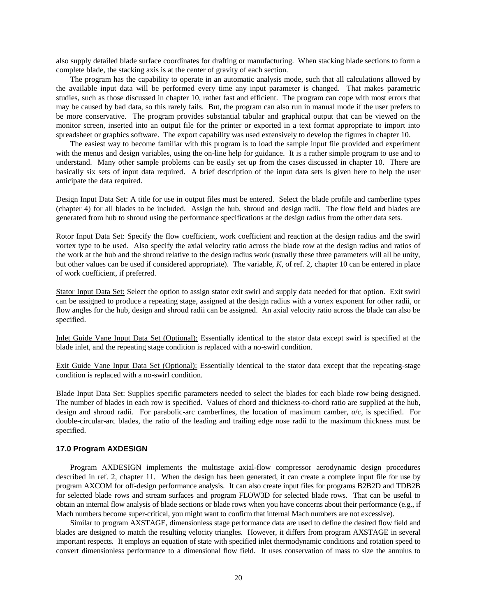also supply detailed blade surface coordinates for drafting or manufacturing. When stacking blade sections to form a complete blade, the stacking axis is at the center of gravity of each section.

The program has the capability to operate in an automatic analysis mode, such that all calculations allowed by the available input data will be performed every time any input parameter is changed. That makes parametric studies, such as those discussed in chapter 10, rather fast and efficient. The program can cope with most errors that may be caused by bad data, so this rarely fails. But, the program can also run in manual mode if the user prefers to be more conservative. The program provides substantial tabular and graphical output that can be viewed on the monitor screen, inserted into an output file for the printer or exported in a text format appropriate to import into spreadsheet or graphics software. The export capability was used extensively to develop the figures in chapter 10.

The easiest way to become familiar with this program is to load the sample input file provided and experiment with the menus and design variables, using the on-line help for guidance. It is a rather simple program to use and to understand. Many other sample problems can be easily set up from the cases discussed in chapter 10. There are basically six sets of input data required. A brief description of the input data sets is given here to help the user anticipate the data required.

Design Input Data Set: A title for use in output files must be entered. Select the blade profile and camberline types (chapter 4) for all blades to be included. Assign the hub, shroud and design radii. The flow field and blades are generated from hub to shroud using the performance specifications at the design radius from the other data sets.

Rotor Input Data Set: Specify the flow coefficient, work coefficient and reaction at the design radius and the swirl vortex type to be used. Also specify the axial velocity ratio across the blade row at the design radius and ratios of the work at the hub and the shroud relative to the design radius work (usually these three parameters will all be unity, but other values can be used if considered appropriate). The variable, *K*, of ref. 2, chapter 10 can be entered in place of work coefficient, if preferred.

Stator Input Data Set: Select the option to assign stator exit swirl and supply data needed for that option. Exit swirl can be assigned to produce a repeating stage, assigned at the design radius with a vortex exponent for other radii, or flow angles for the hub, design and shroud radii can be assigned. An axial velocity ratio across the blade can also be specified.

Inlet Guide Vane Input Data Set (Optional): Essentially identical to the stator data except swirl is specified at the blade inlet, and the repeating stage condition is replaced with a no-swirl condition.

Exit Guide Vane Input Data Set (Optional): Essentially identical to the stator data except that the repeating-stage condition is replaced with a no-swirl condition.

Blade Input Data Set: Supplies specific parameters needed to select the blades for each blade row being designed. The number of blades in each row is specified. Values of chord and thickness-to-chord ratio are supplied at the hub, design and shroud radii. For parabolic-arc camberlines, the location of maximum camber, *a*/*c*, is specified. For double-circular-arc blades, the ratio of the leading and trailing edge nose radii to the maximum thickness must be specified.

## **17.0 Program AXDESIGN**

Program AXDESIGN implements the multistage axial-flow compressor aerodynamic design procedures described in ref. 2, chapter 11. When the design has been generated, it can create a complete input file for use by program AXCOM for off-design performance analysis. It can also create input files for programs B2B2D and TDB2B for selected blade rows and stream surfaces and program FLOW3D for selected blade rows. That can be useful to obtain an internal flow analysis of blade sections or blade rows when you have concerns about their performance (e.g., if Mach numbers become super-critical, you might want to confirm that internal Mach numbers are not excessive).

Similar to program AXSTAGE, dimensionless stage performance data are used to define the desired flow field and blades are designed to match the resulting velocity triangles. However, it differs from program AXSTAGE in several important respects. It employs an equation of state with specified inlet thermodynamic conditions and rotation speed to convert dimensionless performance to a dimensional flow field. It uses conservation of mass to size the annulus to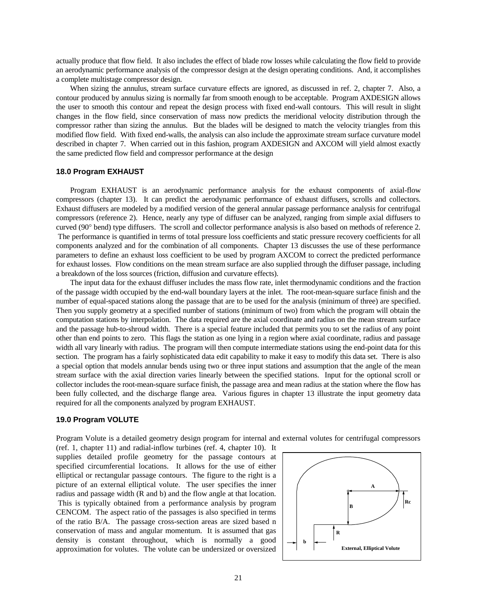actually produce that flow field. It also includes the effect of blade row losses while calculating the flow field to provide an aerodynamic performance analysis of the compressor design at the design operating conditions. And, it accomplishes a complete multistage compressor design.

When sizing the annulus, stream surface curvature effects are ignored, as discussed in ref. 2, chapter 7. Also, a contour produced by annulus sizing is normally far from smooth enough to be acceptable. Program AXDESIGN allows the user to smooth this contour and repeat the design process with fixed end-wall contours. This will result in slight changes in the flow field, since conservation of mass now predicts the meridional velocity distribution through the compressor rather than sizing the annulus. But the blades will be designed to match the velocity triangles from this modified flow field. With fixed end-walls, the analysis can also include the approximate stream surface curvature model described in chapter 7. When carried out in this fashion, program AXDESIGN and AXCOM will yield almost exactly the same predicted flow field and compressor performance at the design

## **18.0 Program EXHAUST**

Program EXHAUST is an aerodynamic performance analysis for the exhaust components of axial-flow compressors (chapter 13). It can predict the aerodynamic performance of exhaust diffusers, scrolls and collectors. Exhaust diffusers are modeled by a modified version of the general annular passage performance analysis for centrifugal compressors (reference 2). Hence, nearly any type of diffuser can be analyzed, ranging from simple axial diffusers to curved (90° bend) type diffusers. The scroll and collector performance analysis is also based on methods of reference 2. The performance is quantified in terms of total pressure loss coefficients and static pressure recovery coefficients for all components analyzed and for the combination of all components. Chapter 13 discusses the use of these performance parameters to define an exhaust loss coefficient to be used by program AXCOM to correct the predicted performance for exhaust losses. Flow conditions on the mean stream surface are also supplied through the diffuser passage, including a breakdown of the loss sources (friction, diffusion and curvature effects).

The input data for the exhaust diffuser includes the mass flow rate, inlet thermodynamic conditions and the fraction of the passage width occupied by the end-wall boundary layers at the inlet. The root-mean-square surface finish and the number of equal-spaced stations along the passage that are to be used for the analysis (minimum of three) are specified. Then you supply geometry at a specified number of stations (minimum of two) from which the program will obtain the computation stations by interpolation. The data required are the axial coordinate and radius on the mean stream surface and the passage hub-to-shroud width. There is a special feature included that permits you to set the radius of any point other than end points to zero. This flags the station as one lying in a region where axial coordinate, radius and passage width all vary linearly with radius. The program will then compute intermediate stations using the end-point data for this section. The program has a fairly sophisticated data edit capability to make it easy to modify this data set. There is also a special option that models annular bends using two or three input stations and assumption that the angle of the mean stream surface with the axial direction varies linearly between the specified stations. Input for the optional scroll or collector includes the root-mean-square surface finish, the passage area and mean radius at the station where the flow has been fully collected, and the discharge flange area. Various figures in chapter 13 illustrate the input geometry data required for all the components analyzed by program EXHAUST.

## **19.0 Program VOLUTE**

Program Volute is a detailed geometry design program for internal and external volutes for centrifugal compressors

(ref. 1, chapter 11) and radial-inflow turbines (ref. 4, chapter 10). It supplies detailed profile geometry for the passage contours at specified circumferential locations. It allows for the use of either elliptical or rectangular passage contours. The figure to the right is a picture of an external elliptical volute. The user specifies the inner radius and passage width (R and b) and the flow angle at that location. This is typically obtained from a performance analysis by program CENCOM. The aspect ratio of the passages is also specified in terms of the ratio B/A. The passage cross-section areas are sized based n conservation of mass and angular momentum. It is assumed that gas density is constant throughout, which is normally a good approximation for volutes. The volute can be undersized or oversized

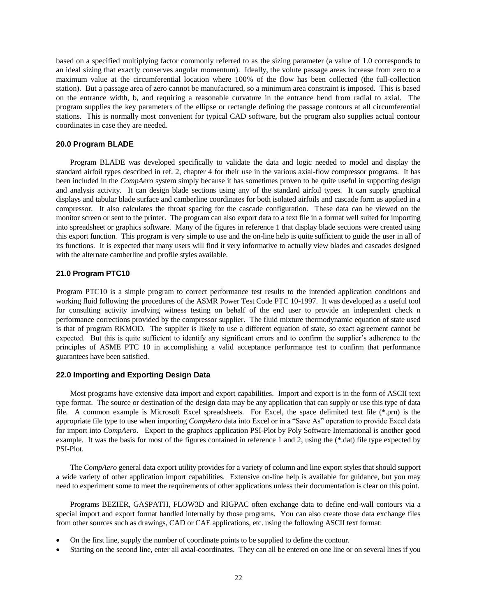based on a specified multiplying factor commonly referred to as the sizing parameter (a value of 1.0 corresponds to an ideal sizing that exactly conserves angular momentum). Ideally, the volute passage areas increase from zero to a maximum value at the circumferential location where 100% of the flow has been collected (the full-collection station). But a passage area of zero cannot be manufactured, so a minimum area constraint is imposed. This is based on the entrance width, b, and requiring a reasonable curvature in the entrance bend from radial to axial. The program supplies the key parameters of the ellipse or rectangle defining the passage contours at all circumferential stations. This is normally most convenient for typical CAD software, but the program also supplies actual contour coordinates in case they are needed.

## **20.0 Program BLADE**

Program BLADE was developed specifically to validate the data and logic needed to model and display the standard airfoil types described in ref. 2, chapter 4 for their use in the various axial-flow compressor programs. It has been included in the *CompAero* system simply because it has sometimes proven to be quite useful in supporting design and analysis activity. It can design blade sections using any of the standard airfoil types. It can supply graphical displays and tabular blade surface and camberline coordinates for both isolated airfoils and cascade form as applied in a compressor. It also calculates the throat spacing for the cascade configuration. These data can be viewed on the monitor screen or sent to the printer. The program can also export data to a text file in a format well suited for importing into spreadsheet or graphics software. Many of the figures in reference 1 that display blade sections were created using this export function. This program is very simple to use and the on-line help is quite sufficient to guide the user in all of its functions. It is expected that many users will find it very informative to actually view blades and cascades designed with the alternate camberline and profile styles available.

## **21.0 Program PTC10**

Program PTC10 is a simple program to correct performance test results to the intended application conditions and working fluid following the procedures of the ASMR Power Test Code PTC 10-1997. It was developed as a useful tool for consulting activity involving witness testing on behalf of the end user to provide an independent check n performance corrections provided by the compressor supplier. The fluid mixture thermodynamic equation of state used is that of program RKMOD. The supplier is likely to use a different equation of state, so exact agreement cannot be expected. But this is quite sufficient to identify any significant errors and to confirm the supplier's adherence to the principles of ASME PTC 10 in accomplishing a valid acceptance performance test to confirm that performance guarantees have been satisfied.

## **22.0 Importing and Exporting Design Data**

Most programs have extensive data import and export capabilities. Import and export is in the form of ASCII text type format. The source or destination of the design data may be any application that can supply or use this type of data file. A common example is Microsoft Excel spreadsheets. For Excel, the space delimited text file (\*.prn) is the appropriate file type to use when importing *CompAero* data into Excel or in a "Save As" operation to provide Excel data for import into *CompAero*. Export to the graphics application PSI-Plot by Poly Software International is another good example. It was the basis for most of the figures contained in reference 1 and 2, using the (\*.dat) file type expected by PSI-Plot.

The *CompAero* general data export utility provides for a variety of column and line export styles that should support a wide variety of other application import capabilities. Extensive on-line help is available for guidance, but you may need to experiment some to meet the requirements of other applications unless their documentation is clear on this point.

Programs BEZIER, GASPATH, FLOW3D and RIGPAC often exchange data to define end-wall contours via a special import and export format handled internally by those programs. You can also create those data exchange files from other sources such as drawings, CAD or CAE applications, etc. using the following ASCII text format:

- On the first line, supply the number of coordinate points to be supplied to define the contour.
- Starting on the second line, enter all axial-coordinates. They can all be entered on one line or on several lines if you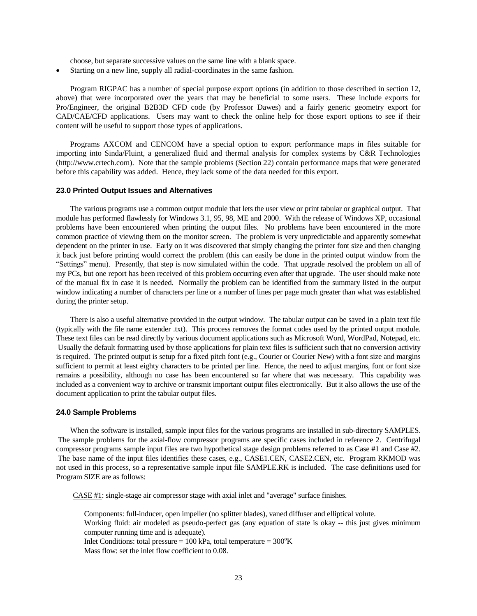choose, but separate successive values on the same line with a blank space.

Starting on a new line, supply all radial-coordinates in the same fashion.

Program RIGPAC has a number of special purpose export options (in addition to those described in section 12, above) that were incorporated over the years that may be beneficial to some users. These include exports for Pro/Engineer, the original B2B3D CFD code (by Professor Dawes) and a fairly generic geometry export for CAD/CAE/CFD applications. Users may want to check the online help for those export options to see if their content will be useful to support those types of applications.

Programs AXCOM and CENCOM have a special option to export performance maps in files suitable for importing into Sinda/Fluint, a generalized fluid and thermal analysis for complex systems by C&R Technologies (http://www.crtech.com). Note that the sample problems (Section 22) contain performance maps that were generated before this capability was added. Hence, they lack some of the data needed for this export.

### **23.0 Printed Output Issues and Alternatives**

The various programs use a common output module that lets the user view or print tabular or graphical output. That module has performed flawlessly for Windows 3.1, 95, 98, ME and 2000. With the release of Windows XP, occasional problems have been encountered when printing the output files. No problems have been encountered in the more common practice of viewing them on the monitor screen. The problem is very unpredictable and apparently somewhat dependent on the printer in use. Early on it was discovered that simply changing the printer font size and then changing it back just before printing would correct the problem (this can easily be done in the printed output window from the "Settings" menu). Presently, that step is now simulated within the code. That upgrade resolved the problem on all of my PCs, but one report has been received of this problem occurring even after that upgrade. The user should make note of the manual fix in case it is needed. Normally the problem can be identified from the summary listed in the output window indicating a number of characters per line or a number of lines per page much greater than what was established during the printer setup.

There is also a useful alternative provided in the output window. The tabular output can be saved in a plain text file (typically with the file name extender .txt). This process removes the format codes used by the printed output module. These text files can be read directly by various document applications such as Microsoft Word, WordPad, Notepad, etc. Usually the default formatting used by those applications for plain text files is sufficient such that no conversion activity is required. The printed output is setup for a fixed pitch font (e.g., Courier or Courier New) with a font size and margins sufficient to permit at least eighty characters to be printed per line. Hence, the need to adjust margins, font or font size remains a possibility, although no case has been encountered so far where that was necessary. This capability was included as a convenient way to archive or transmit important output files electronically. But it also allows the use of the document application to print the tabular output files.

#### **24.0 Sample Problems**

When the software is installed, sample input files for the various programs are installed in sub-directory SAMPLES. The sample problems for the axial-flow compressor programs are specific cases included in reference 2. Centrifugal compressor programs sample input files are two hypothetical stage design problems referred to as Case #1 and Case #2. The base name of the input files identifies these cases, e.g., CASE1.CEN, CASE2.CEN, etc. Program RKMOD was not used in this process, so a representative sample input file SAMPLE.RK is included. The case definitions used for Program SIZE are as follows:

CASE #1: single-stage air compressor stage with axial inlet and "average" surface finishes.

Components: full-inducer, open impeller (no splitter blades), vaned diffuser and elliptical volute. Working fluid: air modeled as pseudo-perfect gas (any equation of state is okay -- this just gives minimum computer running time and is adequate). Inlet Conditions: total pressure =  $100$  kPa, total temperature =  $300^{\circ}$ K Mass flow: set the inlet flow coefficient to 0.08.